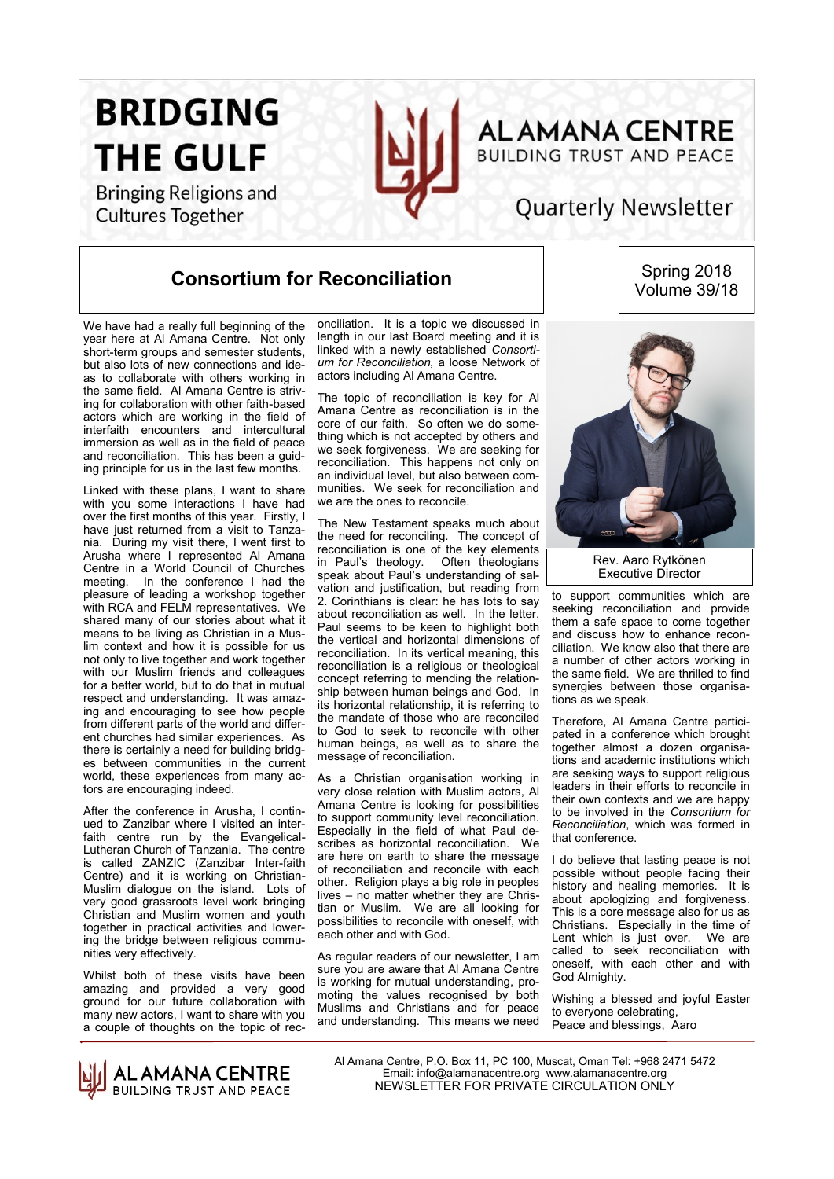**BRIDGING THE GULF** 

**Bringing Religions and** 

**Cultures Together** 



## **ALAMANA CENTRE BUILDING TRUST AND PEACE**

# **Quarterly Newsletter**

#### **Consortium for Reconciliation**

Spring 2018 Volume 39/18

We have had a really full beginning of the year here at Al Amana Centre. Not only short-term groups and semester students. but also lots of new connections and ideas to collaborate with others working in the same field. Al Amana Centre is striving for collaboration with other faith-based actors which are working in the field of interfaith encounters and intercultural immersion as well as in the field of peace and reconciliation. This has been a guiding principle for us in the last few months.

Linked with these pIans, I want to share with you some interactions I have had over the first months of this year. Firstly, I have just returned from a visit to Tanzania. During my visit there, I went first to Arusha where I represented Al Amana Centre in a World Council of Churches meeting. In the conference I had the pleasure of leading a workshop together with RCA and FELM representatives. We shared many of our stories about what it means to be living as Christian in a Muslim context and how it is possible for us not only to live together and work together with our Muslim friends and colleagues for a better world, but to do that in mutual respect and understanding. It was amazing and encouraging to see how people from different parts of the world and different churches had similar experiences. As there is certainly a need for building bridges between communities in the current world, these experiences from many actors are encouraging indeed.

After the conference in Arusha, I continued to Zanzibar where I visited an interfaith centre run by the Evangelical-Lutheran Church of Tanzania. The centre is called ZANZIC (Zanzibar Inter-faith Centre) and it is working on Christian-Muslim dialogue on the island. Lots of very good grassroots level work bringing Christian and Muslim women and youth together in practical activities and lowering the bridge between religious communities very effectively.

Whilst both of these visits have been amazing and provided a very good ground for our future collaboration with many new actors, I want to share with you a couple of thoughts on the topic of reconciliation. It is a topic we discussed in length in our last Board meeting and it is linked with a newly established *Consortium for Reconciliation,* a loose Network of actors including Al Amana Centre.

The topic of reconciliation is key for Al Amana Centre as reconciliation is in the core of our faith. So often we do something which is not accepted by others and we seek forgiveness. We are seeking for reconciliation. This happens not only on an individual level, but also between communities. We seek for reconciliation and we are the ones to reconcile.

The New Testament speaks much about the need for reconciling. The concept of reconciliation is one of the key elements in Paul's theology. Often theologians speak about Paul's understanding of salvation and justification, but reading from 2. Corinthians is clear: he has lots to say about reconciliation as well. In the letter, Paul seems to be keen to highlight both the vertical and horizontal dimensions of reconciliation. In its vertical meaning, this reconciliation is a religious or theological concept referring to mending the relationship between human beings and God. In its horizontal relationship, it is referring to the mandate of those who are reconciled to God to seek to reconcile with other human beings, as well as to share the message of reconciliation.

As a Christian organisation working in very close relation with Muslim actors, Al Amana Centre is looking for possibilities to support community level reconciliation. Especially in the field of what Paul describes as horizontal reconciliation. We are here on earth to share the message of reconciliation and reconcile with each other. Religion plays a big role in peoples lives – no matter whether they are Christian or Muslim. We are all looking for possibilities to reconcile with oneself, with each other and with God.

As regular readers of our newsletter, I am sure you are aware that Al Amana Centre is working for mutual understanding, promoting the values recognised by both Muslims and Christians and for peace and understanding. This means we need



Rev. Aaro Rytkönen Executive Director

to support communities which are seeking reconciliation and provide them a safe space to come together and discuss how to enhance reconciliation. We know also that there are a number of other actors working in the same field. We are thrilled to find synergies between those organisations as we speak.

Therefore, Al Amana Centre participated in a conference which brought together almost a dozen organisations and academic institutions which are seeking ways to support religious leaders in their efforts to reconcile in their own contexts and we are happy to be involved in the *Consortium for Reconciliation*, which was formed in that conference.

I do believe that lasting peace is not possible without people facing their history and healing memories. It is about apologizing and forgiveness. This is a core message also for us as Christians. Especially in the time of Lent which is just over. We are called to seek reconciliation with oneself, with each other and with God Almighty.

Wishing a blessed and joyful Easter to everyone celebrating, Peace and blessings, Aaro

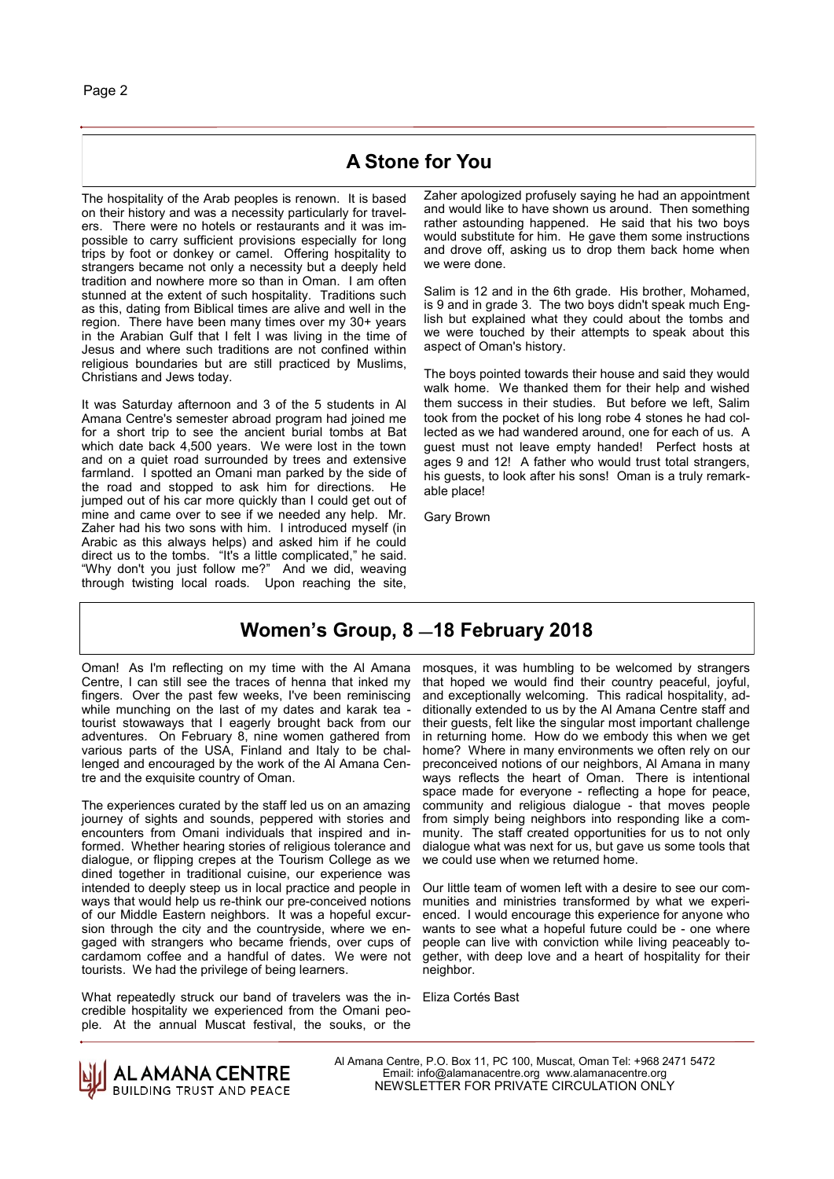#### **A Stone for You**

The hospitality of the Arab peoples is renown. It is based on their history and was a necessity particularly for travelers. There were no hotels or restaurants and it was impossible to carry sufficient provisions especially for long trips by foot or donkey or camel. Offering hospitality to strangers became not only a necessity but a deeply held tradition and nowhere more so than in Oman. I am often stunned at the extent of such hospitality. Traditions such as this, dating from Biblical times are alive and well in the region. There have been many times over my 30+ years in the Arabian Gulf that I felt I was living in the time of Jesus and where such traditions are not confined within religious boundaries but are still practiced by Muslims, Christians and Jews today.

It was Saturday afternoon and 3 of the 5 students in Al Amana Centre's semester abroad program had joined me for a short trip to see the ancient burial tombs at Bat which date back 4,500 years. We were lost in the town and on a quiet road surrounded by trees and extensive farmland. I spotted an Omani man parked by the side of the road and stopped to ask him for directions. He jumped out of his car more quickly than I could get out of mine and came over to see if we needed any help. Mr. Zaher had his two sons with him. I introduced myself (in Arabic as this always helps) and asked him if he could direct us to the tombs. "It's a little complicated," he said. "Why don't you just follow me?" And we did, weaving through twisting local roads. Upon reaching the site, Zaher apologized profusely saying he had an appointment and would like to have shown us around. Then something rather astounding happened. He said that his two boys would substitute for him. He gave them some instructions and drove off, asking us to drop them back home when we were done.

Salim is 12 and in the 6th grade. His brother, Mohamed, is 9 and in grade 3. The two boys didn't speak much English but explained what they could about the tombs and we were touched by their attempts to speak about this aspect of Oman's history.

The boys pointed towards their house and said they would walk home. We thanked them for their help and wished them success in their studies. But before we left, Salim took from the pocket of his long robe 4 stones he had collected as we had wandered around, one for each of us. A guest must not leave empty handed! Perfect hosts at ages 9 and 12! A father who would trust total strangers, his guests, to look after his sons! Oman is a truly remarkable place!

Gary Brown

#### **Women's Group, 8 —18 February 2018**

Oman! As I'm reflecting on my time with the Al Amana Centre, I can still see the traces of henna that inked my fingers. Over the past few weeks, I've been reminiscing while munching on the last of my dates and karak tea tourist stowaways that I eagerly brought back from our adventures. On February 8, nine women gathered from various parts of the USA, Finland and Italy to be challenged and encouraged by the work of the Al Amana Centre and the exquisite country of Oman.

The experiences curated by the staff led us on an amazing journey of sights and sounds, peppered with stories and encounters from Omani individuals that inspired and informed. Whether hearing stories of religious tolerance and dialogue, or flipping crepes at the Tourism College as we dined together in traditional cuisine, our experience was intended to deeply steep us in local practice and people in ways that would help us re-think our pre-conceived notions of our Middle Eastern neighbors. It was a hopeful excursion through the city and the countryside, where we engaged with strangers who became friends, over cups of cardamom coffee and a handful of dates. We were not tourists. We had the privilege of being learners.

What repeatedly struck our band of travelers was the incredible hospitality we experienced from the Omani people. At the annual Muscat festival, the souks, or the

mosques, it was humbling to be welcomed by strangers that hoped we would find their country peaceful, joyful, and exceptionally welcoming. This radical hospitality, additionally extended to us by the Al Amana Centre staff and their guests, felt like the singular most important challenge in returning home. How do we embody this when we get home? Where in many environments we often rely on our preconceived notions of our neighbors, Al Amana in many ways reflects the heart of Oman. There is intentional space made for everyone - reflecting a hope for peace, community and religious dialogue - that moves people from simply being neighbors into responding like a community. The staff created opportunities for us to not only dialogue what was next for us, but gave us some tools that we could use when we returned home.

Our little team of women left with a desire to see our communities and ministries transformed by what we experienced. I would encourage this experience for anyone who wants to see what a hopeful future could be - one where people can live with conviction while living peaceably together, with deep love and a heart of hospitality for their neighbor.

Eliza Cortés Bast

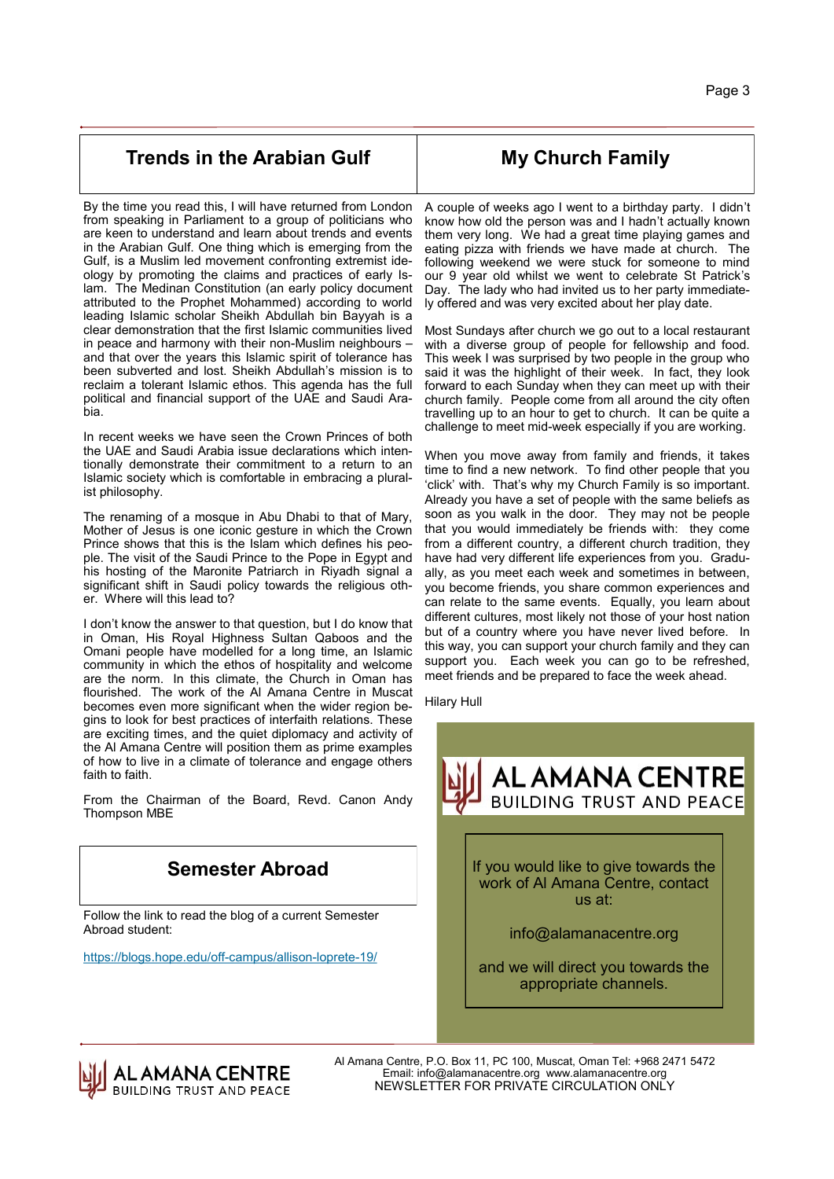#### **Trends in the Arabian Gulf**

**My Church Family**

By the time you read this, I will have returned from London from speaking in Parliament to a group of politicians who are keen to understand and learn about trends and events in the Arabian Gulf. One thing which is emerging from the Gulf, is a Muslim led movement confronting extremist ideology by promoting the claims and practices of early Islam. The Medinan Constitution (an early policy document attributed to the Prophet Mohammed) according to world leading Islamic scholar Sheikh Abdullah bin Bayyah is a clear demonstration that the first Islamic communities lived in peace and harmony with their non-Muslim neighbours – and that over the years this Islamic spirit of tolerance has been subverted and lost. Sheikh Abdullah's mission is to reclaim a tolerant Islamic ethos. This agenda has the full political and financial support of the UAE and Saudi Arabia.

In recent weeks we have seen the Crown Princes of both the UAE and Saudi Arabia issue declarations which intentionally demonstrate their commitment to a return to an Islamic society which is comfortable in embracing a pluralist philosophy.

The renaming of a mosque in Abu Dhabi to that of Mary, Mother of Jesus is one iconic gesture in which the Crown Prince shows that this is the Islam which defines his people. The visit of the Saudi Prince to the Pope in Egypt and his hosting of the Maronite Patriarch in Riyadh signal a significant shift in Saudi policy towards the religious other. Where will this lead to?

I don't know the answer to that question, but I do know that in Oman, His Royal Highness Sultan Qaboos and the Omani people have modelled for a long time, an Islamic community in which the ethos of hospitality and welcome are the norm. In this climate, the Church in Oman has flourished. The work of the Al Amana Centre in Muscat becomes even more significant when the wider region begins to look for best practices of interfaith relations. These are exciting times, and the quiet diplomacy and activity of the Al Amana Centre will position them as prime examples of how to live in a climate of tolerance and engage others faith to faith.

From the Chairman of the Board, Revd. Canon Andy Thompson MBE

### **Semester Abroad**

Follow the link to read the blog of a current Semester Abroad student:

[https://blogs.hope.edu/off](https://blogs.hope.edu/off-campus/allison-loprete-19/)-campus/allison-loprete-19/

A couple of weeks ago I went to a birthday party. I didn't know how old the person was and I hadn't actually known them very long. We had a great time playing games and eating pizza with friends we have made at church. The following weekend we were stuck for someone to mind our 9 year old whilst we went to celebrate St Patrick's Day. The lady who had invited us to her party immediately offered and was very excited about her play date.

Most Sundays after church we go out to a local restaurant with a diverse group of people for fellowship and food. This week I was surprised by two people in the group who said it was the highlight of their week. In fact, they look forward to each Sunday when they can meet up with their church family. People come from all around the city often travelling up to an hour to get to church. It can be quite a challenge to meet mid-week especially if you are working.

When you move away from family and friends, it takes time to find a new network. To find other people that you 'click' with. That's why my Church Family is so important. Already you have a set of people with the same beliefs as soon as you walk in the door. They may not be people that you would immediately be friends with: they come from a different country, a different church tradition, they have had very different life experiences from you. Gradually, as you meet each week and sometimes in between, you become friends, you share common experiences and can relate to the same events. Equally, you learn about different cultures, most likely not those of your host nation but of a country where you have never lived before. In this way, you can support your church family and they can support you. Each week you can go to be refreshed, meet friends and be prepared to face the week ahead.

Hilary Hull